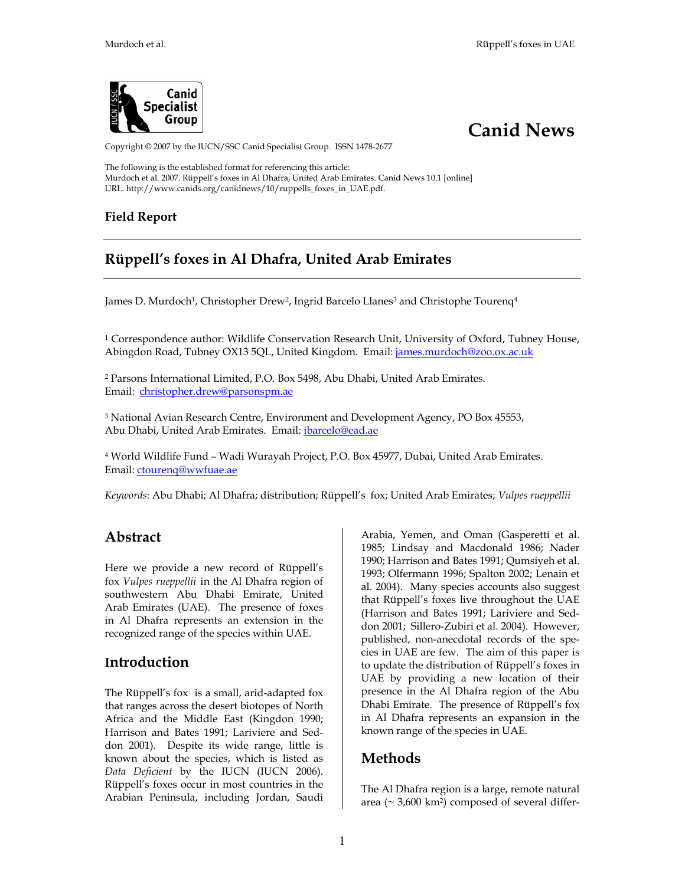



Copyright © 2007 by the IUCN/SSC Canid Specialist Group. ISSN 1478-2677

The following is the established format for referencing this article: Murdoch et al. 2007. Rüppell's foxes in Al Dhafra, United Arab Emirates. Canid News 10.1 [online] URL: http://www.canids.org/canidnews/10/ruppells\_foxes\_in\_UAE.pdf.

#### **Field Report**

# **Rüppell's foxes in Al Dhafra, United Arab Emirates**

James D. Murdoch<sup>1</sup>, Christopher Drew<sup>2</sup>, Ingrid Barcelo Llanes<sup>3</sup> and Christophe Tourenq<sup>4</sup>

<sup>1</sup> Correspondence author: Wildlife Conservation Research Unit, University of Oxford, Tubney House, Abingdon Road, Tubney OX13 5QL, United Kingdom. Email: james.murdoch@zoo.ox.ac.uk

2 Parsons International Limited, P.O. Box 5498, Abu Dhabi, United Arab Emirates. Email: christopher.drew@parsonspm.ae

3 National Avian Research Centre, Environment and Development Agency, PO Box 45553, Abu Dhabi, United Arab Emirates. Email: ibarcelo@ead.ae

4 World Wildlife Fund – Wadi Wurayah Project, P.O. Box 45977, Dubai, United Arab Emirates. Email: ctourenq@wwfuae.ae

*Keywords*: Abu Dhabi; Al Dhafra; distribution; Rüppell's fox; United Arab Emirates; *Vulpes rueppellii*

### **Abstract**

Here we provide a new record of Rüppell's fox *Vulpes rueppellii* in the Al Dhafra region of southwestern Abu Dhabi Emirate, United Arab Emirates (UAE). The presence of foxes in Al Dhafra represents an extension in the recognized range of the species within UAE.

#### **Introduction**

The Rüppell's fox is a small, arid-adapted fox that ranges across the desert biotopes of North Africa and the Middle East (Kingdon 1990; Harrison and Bates 1991; Lariviere and Seddon 2001). Despite its wide range, little is known about the species, which is listed as *Data Deficient* by the IUCN (IUCN 2006). Rüppell's foxes occur in most countries in the Arabian Peninsula, including Jordan, Saudi Arabia, Yemen, and Oman (Gasperetti et al. 1985; Lindsay and Macdonald 1986; Nader 1990; Harrison and Bates 1991; Qumsiyeh et al. 1993; Olfermann 1996; Spalton 2002; Lenain et al. 2004). Many species accounts also suggest that Rüppell's foxes live throughout the UAE (Harrison and Bates 1991; Lariviere and Seddon 2001; Sillero-Zubiri et al. 2004). However, published, non-anecdotal records of the species in UAE are few. The aim of this paper is to update the distribution of Rüppell's foxes in UAE by providing a new location of their presence in the Al Dhafra region of the Abu Dhabi Emirate. The presence of Rüppell's fox in Al Dhafra represents an expansion in the known range of the species in UAE.

### **Methods**

The Al Dhafra region is a large, remote natural area ( $\sim$  3,600 km<sup>2</sup>) composed of several differ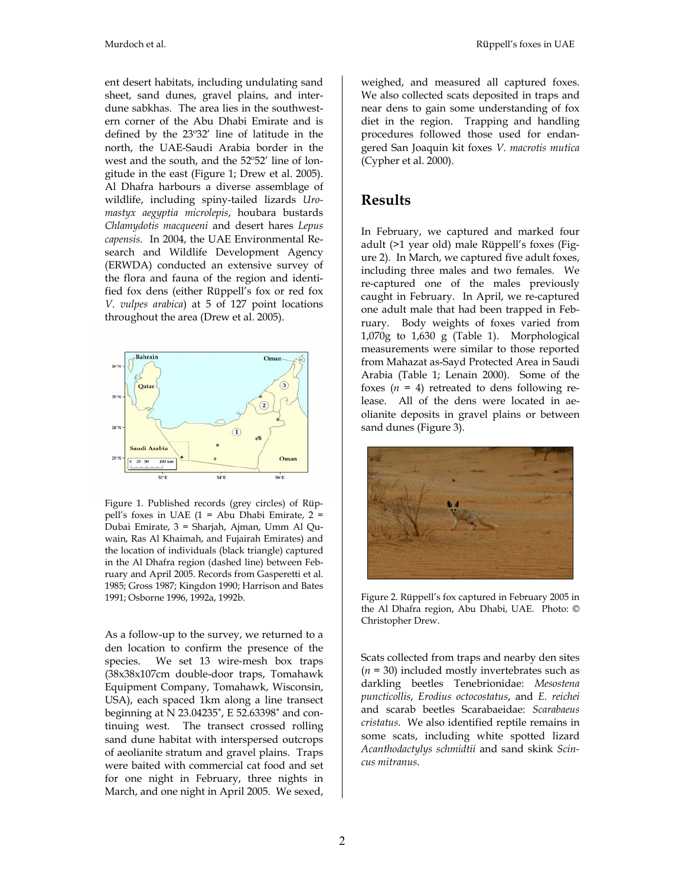ent desert habitats, including undulating sand sheet, sand dunes, gravel plains, and interdune sabkhas. The area lies in the southwestern corner of the Abu Dhabi Emirate and is defined by the 23º32' line of latitude in the north, the UAE-Saudi Arabia border in the west and the south, and the 52º52' line of longitude in the east (Figure 1; Drew et al. 2005). Al Dhafra harbours a diverse assemblage of wildlife, including spiny-tailed lizards *Uromastyx aegyptia microlepis*, houbara bustards *Chlamydotis macqueeni* and desert hares *Lepus capensis*. In 2004, the UAE Environmental Research and Wildlife Development Agency (ERWDA) conducted an extensive survey of the flora and fauna of the region and identified fox dens (either Rüppell's fox or red fox *V. vulpes arabica*) at 5 of 127 point locations throughout the area (Drew et al. 2005).



Figure 1. Published records (grey circles) of Rüppell's foxes in UAE (1 = Abu Dhabi Emirate, 2 = Dubai Emirate, 3 = Sharjah, Ajman, Umm Al Quwain, Ras Al Khaimah, and Fujairah Emirates) and the location of individuals (black triangle) captured in the Al Dhafra region (dashed line) between February and April 2005. Records from Gasperetti et al. 1985; Gross 1987; Kingdon 1990; Harrison and Bates 1991; Osborne 1996, 1992a, 1992b.

As a follow-up to the survey, we returned to a den location to confirm the presence of the species. We set 13 wire-mesh box traps (38x38x107cm double-door traps, Tomahawk Equipment Company, Tomahawk, Wisconsin, USA), each spaced 1km along a line transect beginning at N 23.04235˚, E 52.63398˚ and continuing west. The transect crossed rolling sand dune habitat with interspersed outcrops of aeolianite stratum and gravel plains. Traps were baited with commercial cat food and set for one night in February, three nights in March, and one night in April 2005. We sexed, weighed, and measured all captured foxes. We also collected scats deposited in traps and near dens to gain some understanding of fox diet in the region. Trapping and handling procedures followed those used for endangered San Joaquin kit foxes *V. macrotis mutica* (Cypher et al. 2000).

#### **Results**

In February, we captured and marked four adult (>1 year old) male Rüppell's foxes (Figure 2). In March, we captured five adult foxes, including three males and two females. We re-captured one of the males previously caught in February. In April, we re-captured one adult male that had been trapped in February. Body weights of foxes varied from 1,070g to 1,630 g (Table 1). Morphological measurements were similar to those reported from Mahazat as-Sayd Protected Area in Saudi Arabia (Table 1; Lenain 2000). Some of the foxes  $(n = 4)$  retreated to dens following release. All of the dens were located in aeolianite deposits in gravel plains or between sand dunes (Figure 3).



Figure 2. Rüppell's fox captured in February 2005 in the Al Dhafra region, Abu Dhabi, UAE. Photo: © Christopher Drew.

Scats collected from traps and nearby den sites  $(n = 30)$  included mostly invertebrates such as darkling beetles Tenebrionidae: *Mesostena puncticollis*, *Erodius octocostatus*, and *E. reichei* and scarab beetles Scarabaeidae: *Scarabaeus cristatus*. We also identified reptile remains in some scats, including white spotted lizard *Acanthodactylys schmidtii* and sand skink *Scincus mitranus*.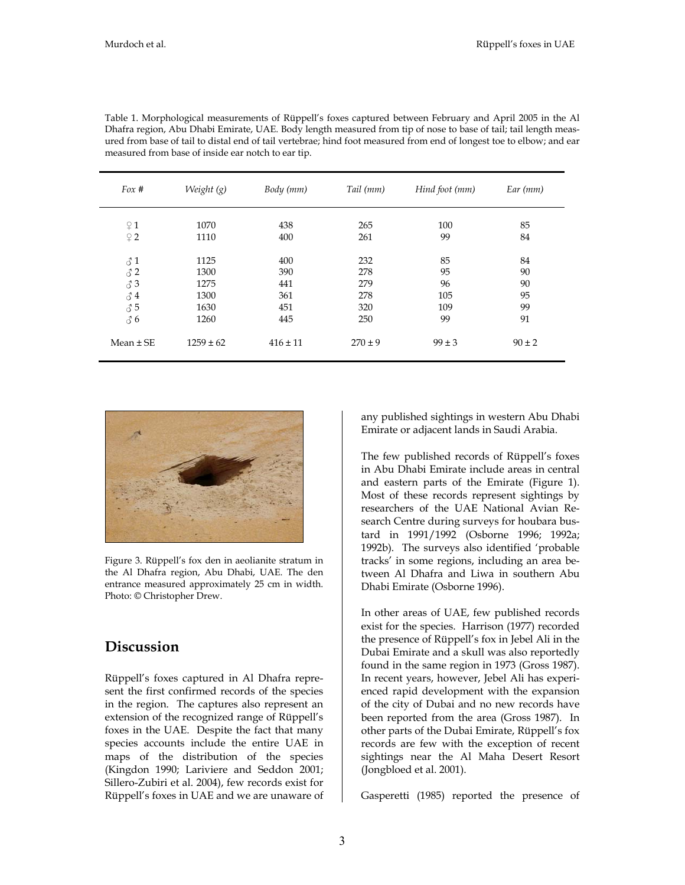| For #         | Weight (g)    | Body (mm)    | Tail (mm)   | Hind foot (mm) | Ear (mm)   |
|---------------|---------------|--------------|-------------|----------------|------------|
| $\sqrt{2}$ 1  | 1070          | 438          | 265         | 100            | 85         |
| $\sqrt{2}$    | 1110          | 400          | 261         | 99             | 84         |
| $\delta$ 1    | 1125          | 400          | 232         | 85             | 84         |
| $\delta$ 2    | 1300          | 390          | 278         | 95             | 90         |
| 33            | 1275          | 441          | 279         | 96             | 90         |
| 34            | 1300          | 361          | 278         | 105            | 95         |
| 35            | 1630          | 451          | 320         | 109            | 99         |
| 36            | 1260          | 445          | 250         | 99             | 91         |
| $Mean \pm SE$ | $1259 \pm 62$ | $416 \pm 11$ | $270 \pm 9$ | $99 \pm 3$     | $90 \pm 2$ |

Table 1. Morphological measurements of Rüppell's foxes captured between February and April 2005 in the Al Dhafra region, Abu Dhabi Emirate, UAE. Body length measured from tip of nose to base of tail; tail length measured from base of tail to distal end of tail vertebrae; hind foot measured from end of longest toe to elbow; and ear measured from base of inside ear notch to ear tip.



Figure 3. Rüppell's fox den in aeolianite stratum in the Al Dhafra region, Abu Dhabi, UAE. The den entrance measured approximately 25 cm in width. Photo: © Christopher Drew.

### **Discussion**

Rüppell's foxes captured in Al Dhafra represent the first confirmed records of the species in the region. The captures also represent an extension of the recognized range of Rüppell's foxes in the UAE. Despite the fact that many species accounts include the entire UAE in maps of the distribution of the species (Kingdon 1990; Lariviere and Seddon 2001; Sillero-Zubiri et al. 2004), few records exist for Rüppell's foxes in UAE and we are unaware of

any published sightings in western Abu Dhabi Emirate or adjacent lands in Saudi Arabia.

The few published records of Rüppell's foxes in Abu Dhabi Emirate include areas in central and eastern parts of the Emirate (Figure 1). Most of these records represent sightings by researchers of the UAE National Avian Research Centre during surveys for houbara bustard in 1991/1992 (Osborne 1996; 1992a; 1992b). The surveys also identified 'probable tracks' in some regions, including an area between Al Dhafra and Liwa in southern Abu Dhabi Emirate (Osborne 1996).

In other areas of UAE, few published records exist for the species. Harrison (1977) recorded the presence of Rüppell's fox in Jebel Ali in the Dubai Emirate and a skull was also reportedly found in the same region in 1973 (Gross 1987). In recent years, however, Jebel Ali has experienced rapid development with the expansion of the city of Dubai and no new records have been reported from the area (Gross 1987). In other parts of the Dubai Emirate, Rüppell's fox records are few with the exception of recent sightings near the Al Maha Desert Resort (Jongbloed et al. 2001).

Gasperetti (1985) reported the presence of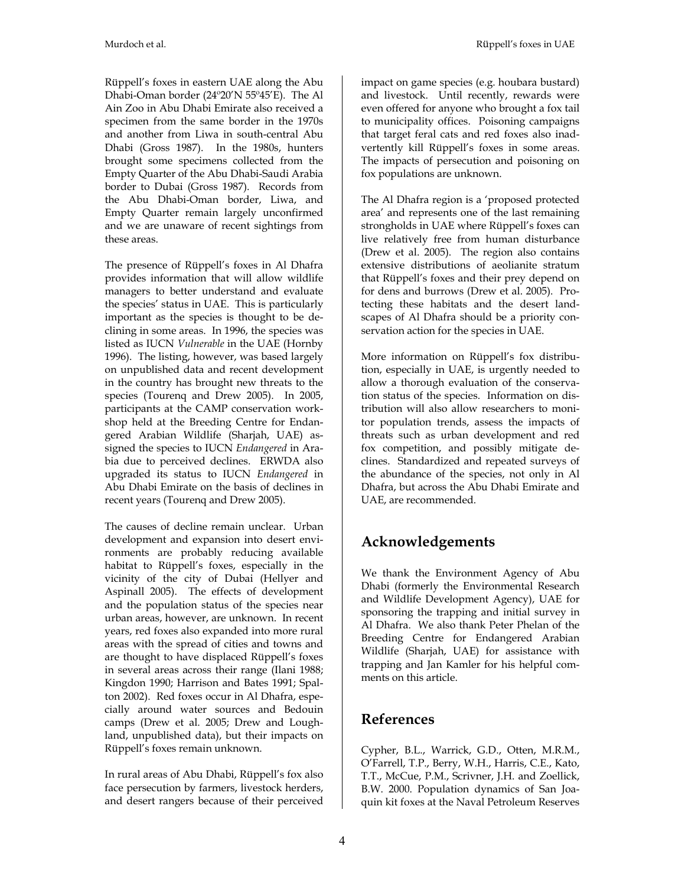Rüppell's foxes in eastern UAE along the Abu Dhabi-Oman border (24º20'N 55º45'E). The Al Ain Zoo in Abu Dhabi Emirate also received a specimen from the same border in the 1970s and another from Liwa in south-central Abu Dhabi (Gross 1987). In the 1980s, hunters brought some specimens collected from the Empty Quarter of the Abu Dhabi-Saudi Arabia border to Dubai (Gross 1987). Records from the Abu Dhabi-Oman border, Liwa, and Empty Quarter remain largely unconfirmed and we are unaware of recent sightings from these areas.

The presence of Rüppell's foxes in Al Dhafra provides information that will allow wildlife managers to better understand and evaluate the species' status in UAE. This is particularly important as the species is thought to be declining in some areas. In 1996, the species was listed as IUCN *Vulnerable* in the UAE (Hornby 1996). The listing, however, was based largely on unpublished data and recent development in the country has brought new threats to the species (Tourenq and Drew 2005). In 2005, participants at the CAMP conservation workshop held at the Breeding Centre for Endangered Arabian Wildlife (Sharjah, UAE) assigned the species to IUCN *Endangered* in Arabia due to perceived declines. ERWDA also upgraded its status to IUCN *Endangered* in Abu Dhabi Emirate on the basis of declines in recent years (Tourenq and Drew 2005).

The causes of decline remain unclear. Urban development and expansion into desert environments are probably reducing available habitat to Rüppell's foxes, especially in the vicinity of the city of Dubai (Hellyer and Aspinall 2005). The effects of development and the population status of the species near urban areas, however, are unknown. In recent years, red foxes also expanded into more rural areas with the spread of cities and towns and are thought to have displaced Rüppell's foxes in several areas across their range (Ilani 1988; Kingdon 1990; Harrison and Bates 1991; Spalton 2002). Red foxes occur in Al Dhafra, especially around water sources and Bedouin camps (Drew et al. 2005; Drew and Loughland, unpublished data), but their impacts on Rüppell's foxes remain unknown.

In rural areas of Abu Dhabi, Rüppell's fox also face persecution by farmers, livestock herders, and desert rangers because of their perceived

impact on game species (e.g. houbara bustard) and livestock. Until recently, rewards were even offered for anyone who brought a fox tail to municipality offices. Poisoning campaigns that target feral cats and red foxes also inadvertently kill Rüppell's foxes in some areas. The impacts of persecution and poisoning on fox populations are unknown.

The Al Dhafra region is a 'proposed protected area' and represents one of the last remaining strongholds in UAE where Rüppell's foxes can live relatively free from human disturbance (Drew et al. 2005). The region also contains extensive distributions of aeolianite stratum that Rüppell's foxes and their prey depend on for dens and burrows (Drew et al. 2005). Protecting these habitats and the desert landscapes of Al Dhafra should be a priority conservation action for the species in UAE.

More information on Rüppell's fox distribution, especially in UAE, is urgently needed to allow a thorough evaluation of the conservation status of the species. Information on distribution will also allow researchers to monitor population trends, assess the impacts of threats such as urban development and red fox competition, and possibly mitigate declines. Standardized and repeated surveys of the abundance of the species, not only in Al Dhafra, but across the Abu Dhabi Emirate and UAE, are recommended.

# **Acknowledgements**

We thank the Environment Agency of Abu Dhabi (formerly the Environmental Research and Wildlife Development Agency), UAE for sponsoring the trapping and initial survey in Al Dhafra. We also thank Peter Phelan of the Breeding Centre for Endangered Arabian Wildlife (Sharjah, UAE) for assistance with trapping and Jan Kamler for his helpful comments on this article.

# **References**

Cypher, B.L., Warrick, G.D., Otten, M.R.M., O'Farrell, T.P., Berry, W.H., Harris, C.E., Kato, T.T., McCue, P.M., Scrivner, J.H. and Zoellick, B.W. 2000. Population dynamics of San Joaquin kit foxes at the Naval Petroleum Reserves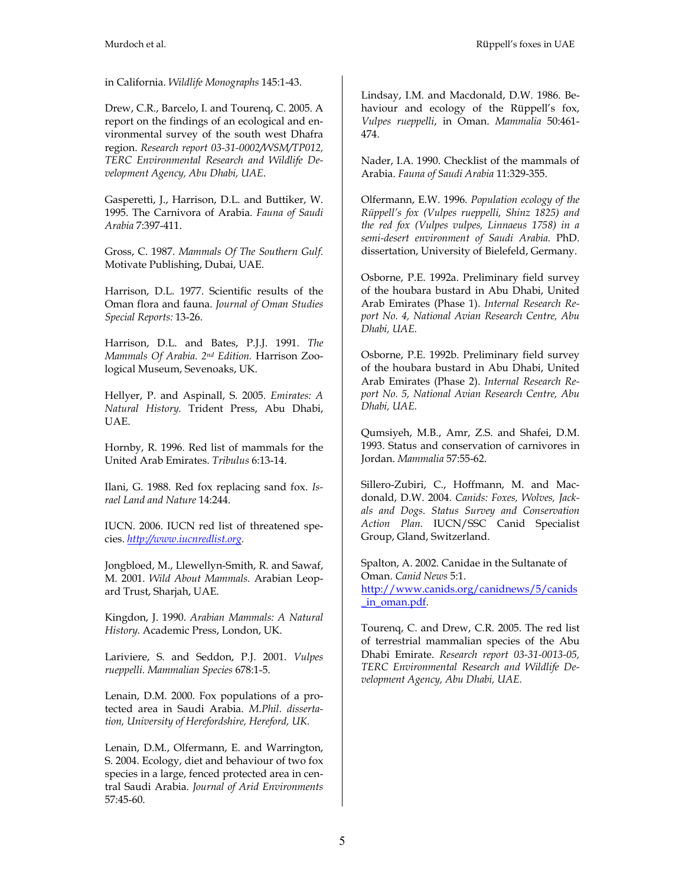in California. *Wildlife Monographs* 145:1-43.

Drew, C.R., Barcelo, I. and Tourenq, C. 2005. A report on the findings of an ecological and environmental survey of the south west Dhafra region. *Research report 03-31-0002/WSM/TP012, TERC Environmental Research and Wildlife Development Agency, Abu Dhabi, UAE*.

Gasperetti, J., Harrison, D.L. and Buttiker, W. 1995. The Carnivora of Arabia. *Fauna of Saudi Arabia* 7:397-411.

Gross, C. 1987. *Mammals Of The Southern Gulf.*  Motivate Publishing, Dubai, UAE.

Harrison, D.L. 1977. Scientific results of the Oman flora and fauna. *Journal of Oman Studies Special Reports:* 13-26.

Harrison, D.L. and Bates, P.J.J. 1991. *The Mammals Of Arabia. 2nd Edition.* Harrison Zoological Museum, Sevenoaks, UK.

Hellyer, P. and Aspinall, S. 2005. *Emirates: A Natural History.* Trident Press, Abu Dhabi, UAE.

Hornby, R. 1996. Red list of mammals for the United Arab Emirates. *Tribulus* 6:13-14.

Ilani, G. 1988. Red fox replacing sand fox. *Israel Land and Nature* 14:244.

IUCN. 2006. IUCN red list of threatened species. *http://www.iucnredlist.org.*

Jongbloed, M., Llewellyn-Smith, R. and Sawaf, M. 2001. *Wild About Mammals.* Arabian Leopard Trust, Sharjah, UAE.

Kingdon, J. 1990. *Arabian Mammals: A Natural History.* Academic Press, London, UK.

Lariviere, S. and Seddon, P.J. 2001. *Vulpes rueppelli. Mammalian Species* 678:1-5.

Lenain, D.M. 2000. Fox populations of a protected area in Saudi Arabia. *M.Phil. dissertation, University of Herefordshire, Hereford, UK.*

Lenain, D.M., Olfermann, E. and Warrington, S. 2004. Ecology, diet and behaviour of two fox species in a large, fenced protected area in central Saudi Arabia. *Journal of Arid Environments* 57:45-60.

Lindsay, I.M. and Macdonald, D.W. 1986. Behaviour and ecology of the Rüppell's fox, *Vulpes rueppelli*, in Oman. *Mammalia* 50:461- 474.

Nader, I.A. 1990. Checklist of the mammals of Arabia. *Fauna of Saudi Arabia* 11:329-355.

Olfermann, E.W. 1996. *Population ecology of the Rüppell's fox (Vulpes rueppelli, Shinz 1825) and the red fox (Vulpes vulpes, Linnaeus 1758) in a semi-desert environment of Saudi Arabia.* PhD. dissertation, University of Bielefeld, Germany.

Osborne, P.E. 1992a. Preliminary field survey of the houbara bustard in Abu Dhabi, United Arab Emirates (Phase 1). *Internal Research Report No. 4, National Avian Research Centre, Abu Dhabi, UAE.*

Osborne, P.E. 1992b. Preliminary field survey of the houbara bustard in Abu Dhabi, United Arab Emirates (Phase 2). *Internal Research Report No. 5, National Avian Research Centre, Abu Dhabi, UAE.*

Qumsiyeh, M.B., Amr, Z.S. and Shafei, D.M. 1993. Status and conservation of carnivores in Jordan. *Mammalia* 57:55-62.

Sillero-Zubiri, C., Hoffmann, M. and Macdonald, D.W. 2004. *Canids: Foxes, Wolves, Jackals and Dogs. Status Survey and Conservation Action Plan.* IUCN/SSC Canid Specialist Group, Gland, Switzerland.

Spalton, A. 2002. Canidae in the Sultanate of Oman. *Canid News* 5:1. http://www.canids.org/canidnews/5/canids \_in\_oman.pdf.

Tourenq, C. and Drew, C.R. 2005. The red list of terrestrial mammalian species of the Abu Dhabi Emirate. *Research report 03-31-0013-05, TERC Environmental Research and Wildlife Development Agency, Abu Dhabi, UAE.*